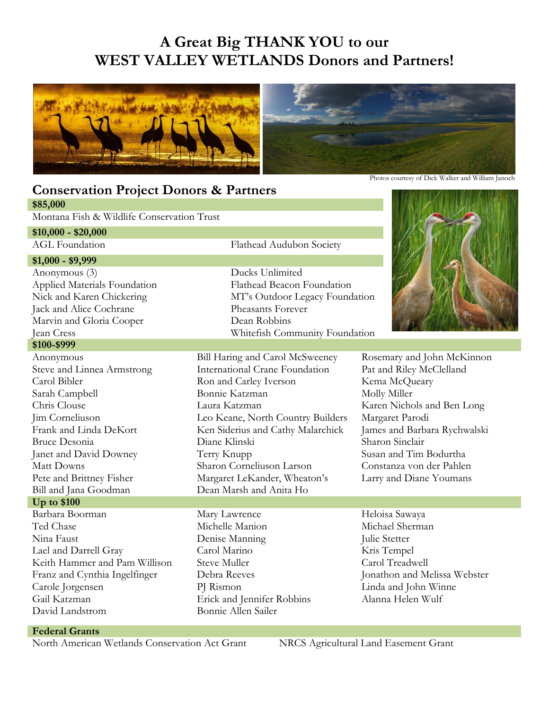## **A Great Big THANK YOU to our WEST VALLEY WETLANDS Donors and Partners!**



## **Conservation Project Donors & Partners \$85,000**

Montana Fish & Wildlife Conservation Trust

## **\$10,000 - \$20,000**

## **\$1,000 - \$9,999**

Anonymous (3) Ducks Unlimited Applied Materials Foundation Flathead Beacon Foundation Jack and Alice Cochrane Pheasants Forever Marvin and Gloria Cooper Dean Robbins

#### **\$100-\$999**

Bill and Jana Goodman Dean Marsh and Anita Ho

## **Up to \$100**

Barbara Boorman Mary Lawrence Heloisa Sawaya Ted Chase Michelle Manion Michael Sherman Nina Faust **Denise Manning** Julie Stetter Lael and Darrell Gray Carol Marino Kris Tempel Keith Hammer and Pam Willison Steve Muller Carol Treadwell Franz and Cynthia Ingelfinger Debra Reeves Jonathon and Melissa Webster Carole Jorgensen PJ Rismon Linda and John Winne Gail Katzman Erick and Jennifer Robbins Alanna Helen Wulf David Landstrom Bonnie Allen Sailer

AGL Foundation Flathead Audubon Society

Nick and Karen Chickering MT's Outdoor Legacy Foundation Jean Cress Whitefish Community Foundation

Anonymous Bill Haring and Carol McSweeney Rosemary and John McKinnon Steve and Linnea Armstrong International Crane Foundation Pat and Riley McClelland Carol Bibler Ron and Carley Iverson Kema McQueary Sarah Campbell Bonnie Katzman Molly Miller Chris Clouse Laura Katzman Karen Nichols and Ben Long Jim Corneliuson Leo Keane, North Country Builders Margaret Parodi Frank and Linda DeKort Ken Siderius and Cathy Malarchick James and Barbara Rychwalski Bruce Desonia Diane Klinski Sharon Sinclair Janet and David Downey Terry Knupp Susan and Tim Bodurtha Matt Downs Sharon Corneliuson Larson Constanza von der Pahlen Pete and Brittney Fisher Margaret LeKander, Wheaton's Larry and Diane Youmans



- 
- 

### **Federal Grants**

North American Wetlands Conservation Act Grant NRCS Agricultural Land Easement Grant